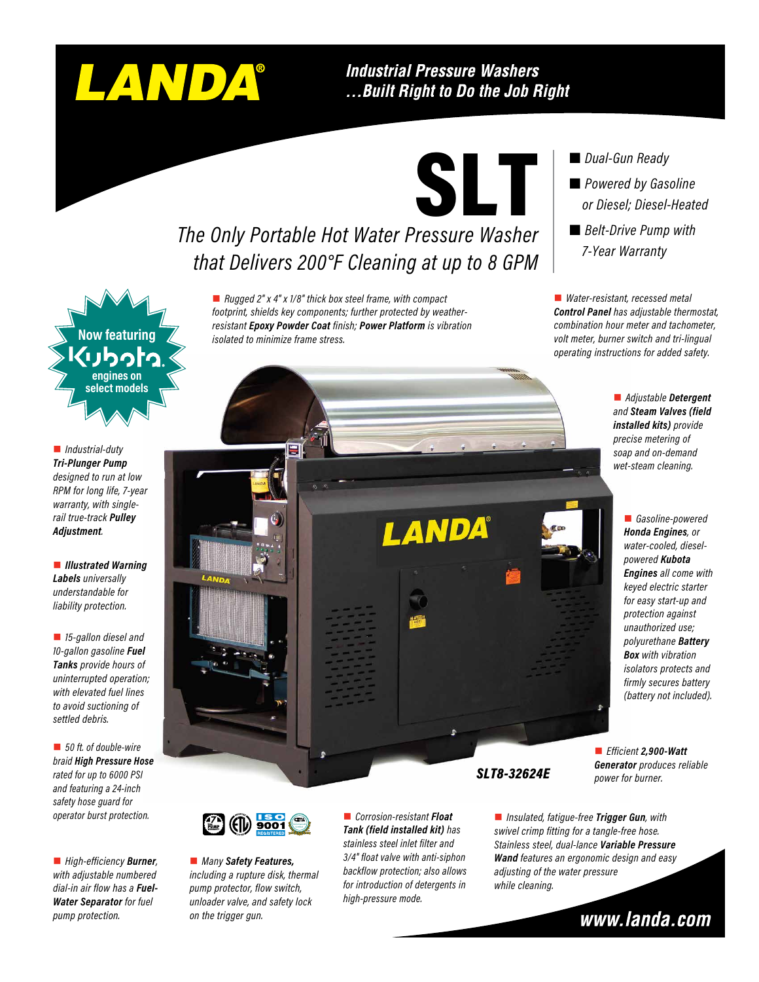# LANDA®

**Industrial Pressure Washers** ...Built Right to Do the Job Right



## *The Only Portable Hot Water Pressure Washer that Delivers 200°F Cleaning at up to 8 GPM*

■ *Rugged 2" x 4" x 1/8" thick box steel frame, with compact footprint, shields key components; further protected by weatherresistant Epoxy Powder Coat finish; Power Platform is vibration isolated to minimize frame stress.*

#### *Dual-Gun Ready*

 *Powered by Gasoline or Diesel; Diesel-Heated* ■ *Belt-Drive Pump with 7-Year Warranty*

■ *Water-resistant, recessed metal Control Panel has adjustable thermostat, combination hour meter and tachometer, volt meter, burner switch and tri-lingual operating instructions for added safety.*

> n *Adjustable Detergent and Steam Valves (field installed kits) provide precise metering of soap and on-demand wet-steam cleaning.*

> > ■ *Gasoline-powered Honda Engines, or water-cooled, dieselpowered Kubota Engines all come with keyed electric starter for easy start-up and protection against unauthorized use; polyurethane Battery Box with vibration isolators protects and firmly secures battery (battery not included).*

■ *Insulated, fatigue-free Trigger Gun, with swivel crimp fitting for a tangle-free hose. Stainless steel, dual-lance Variable Pressure Wand features an ergonomic design and easy adjusting of the water pressure while cleaning.*

www.landa.com



n *Industrial-duty Tri-Plunger Pump designed to run at low RPM for long life, 7-year warranty, with singlerail true-track Pulley Adjustment.*

**n** *Illustrated Warning Labels universally understandable for liability protection.*

**n** 15-gallon diesel and *10-gallon gasoline Fuel Tanks provide hours of uninterrupted operation; with elevated fuel lines to avoid suctioning of settled debris.*

■ 50 ft. of double-wire *braid High Pressure Hose rated for up to 6000 PSI and featuring a 24-inch safety hose guard for operator burst protection.*

■ *High-efficiency* **Burner**, *with adjustable numbered dial-in air flow has a Fuel-Water Separator for fuel pump protection.*





■ *Many Safety Features*, *including a rupture disk, thermal pump protector, flow switch, unloader valve, and safety lock on the trigger gun.* 

n *Corrosion-resistant Float Tank (field installed kit) has stainless steel inlet filter and 3/4" float valve with anti-siphon backflow protection; also allows for introduction of detergents in high-pressure mode.*